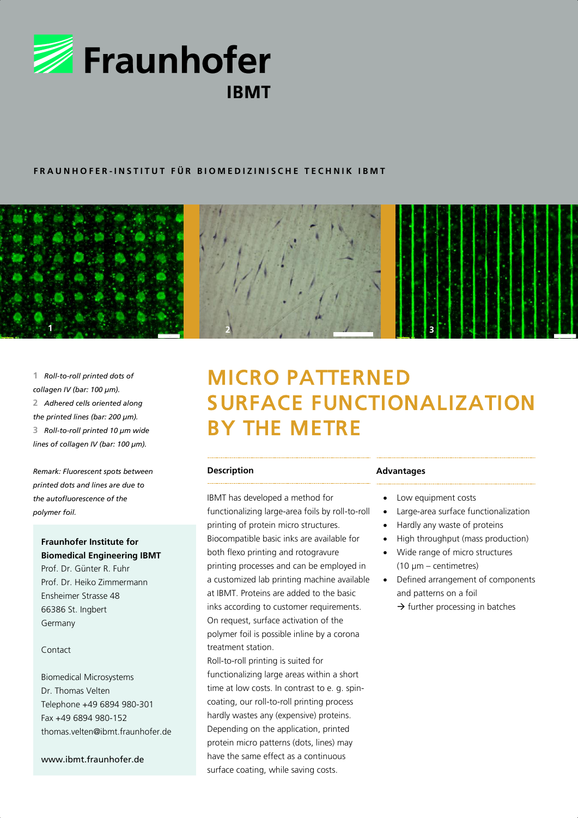

# **F R A U N H O F E R - I N S T I T U T F Ü R B I O M E D I Z I N I S C H E T E C H N I K I B M T**



**1** *Roll-to-roll printed dots of collagen IV (bar: 100 µm).* **2** *Adhered cells oriented along the printed lines (bar: 200 µm).* **3** *Roll-to-roll printed 10 µm wide lines of collagen IV (bar: 100 µm).*

*Remark: Fluorescent spots between printed dots and lines are due to the autofluorescence of the polymer foil.*

# **Fraunhofer Institute for Biomedical Engineering IBMT**

Prof. Dr. Günter R. Fuhr Prof. Dr. Heiko Zimmermann Ensheimer Strasse 48 66386 St. Ingbert Germany

## Contact

Biomedical Microsystems Dr. Thomas Velten Telephone +49 6894 980-301 Fax +49 6894 980-152 thomas.velten@ibmt.fraunhofer.de

www.ibmt.fraunhofer.de

# MICRO PATTERNED SURFACE FUNCTIONALIZATION BY THE METRE

#### **Description**

IBMT has developed a method for functionalizing large-area foils by roll-to-roll printing of protein micro structures. Biocompatible basic inks are available for both flexo printing and rotogravure printing processes and can be employed in a customized lab printing machine available at IBMT. Proteins are added to the basic inks according to customer requirements. On request, surface activation of the polymer foil is possible inline by a corona treatment station.

Roll-to-roll printing is suited for functionalizing large areas within a short time at low costs. In contrast to e. g. spincoating, our roll-to-roll printing process hardly wastes any (expensive) proteins. Depending on the application, printed protein micro patterns (dots, lines) may have the same effect as a continuous surface coating, while saving costs.

#### **Advantages**

- Low equipment costs
- Large-area surface functionalization
- Hardly any waste of proteins
- High throughput (mass production)
- Wide range of micro structures (10 µm – centimetres)
- Defined arrangement of components and patterns on a foil  $\rightarrow$  further processing in batches